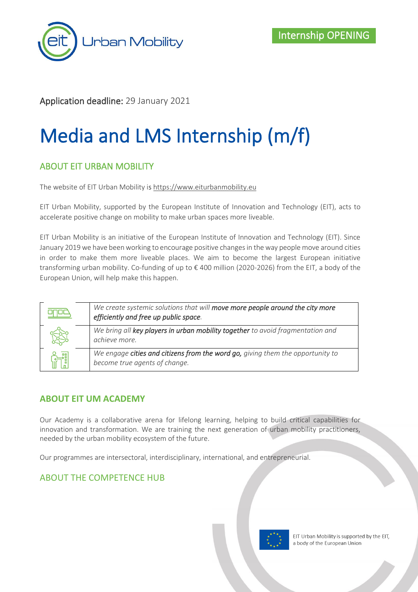

# Application deadline: 29 January 2021

# Media and LMS Internship (m/f)

# ABOUT EIT URBAN MOBILITY

The website of EIT Urban Mobility is [https://www.eiturbanmobility.eu](https://www.eiturbanmobility.eu/)

EIT Urban Mobility, supported by the European Institute of Innovation and Technology (EIT), acts to accelerate positive change on mobility to make urban spaces more liveable.

EIT Urban Mobility is an initiative of the European Institute of Innovation and Technology (EIT). Since January 2019 we have been working to encourage positive changes in the way people move around cities in order to make them more liveable places. We aim to become the largest European initiative transforming urban mobility. Co-funding of up to € 400 million (2020-2026) from the EIT, a body of the European Union, will help make this happen.

| We create systemic solutions that will move more people around the city more<br>efficiently and free up public space. |
|-----------------------------------------------------------------------------------------------------------------------|
| We bring all key players in urban mobility together to avoid fragmentation and<br>achieve more.                       |
| We engage cities and citizens from the word go, giving them the opportunity to<br>become true agents of change.       |

# **ABOUT EIT UM ACADEMY**

Our Academy is a collaborative arena for lifelong learning, helping to build critical capabilities for innovation and transformation. We are training the next generation of urban mobility practitioners, needed by the urban mobility ecosystem of the future.

Our programmes are intersectoral, interdisciplinary, international, and entrepreneurial.

# ABOUT THE COMPETENCE HUB

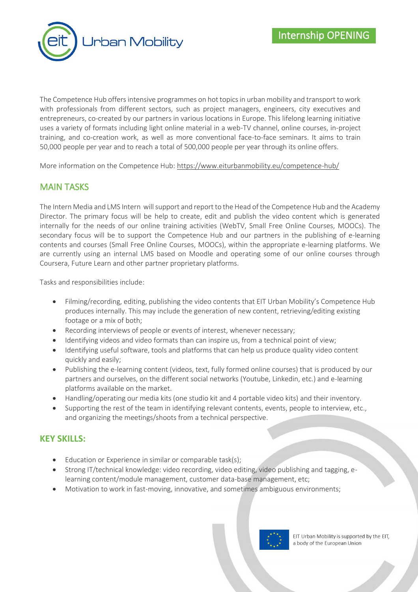

The Competence Hub offers intensive programmes on hot topics in urban mobility and transport to work with professionals from different sectors, such as project managers, engineers, city executives and entrepreneurs, co-created by our partners in various locations in Europe. This lifelong learning initiative uses a variety of formats including light online material in a web-TV channel, online courses, in-project training, and co-creation work, as well as more conventional face-to-face seminars. It aims to train 50,000 people per year and to reach a total of 500,000 people per year through its online offers.

More information on the Competence Hub:<https://www.eiturbanmobility.eu/competence-hub/>

# MAIN TASKS

The Intern Media and LMS Intern will support and report to the Head of the Competence Hub and the Academy Director. The primary focus will be help to create, edit and publish the video content which is generated internally for the needs of our online training activities (WebTV, Small Free Online Courses, MOOCs). The secondary focus will be to support the Competence Hub and our partners in the publishing of e-learning contents and courses (Small Free Online Courses, MOOCs), within the appropriate e-learning platforms. We are currently using an internal LMS based on Moodle and operating some of our online courses through Coursera, Future Learn and other partner proprietary platforms.

Tasks and responsibilities include:

- Filming/recording, editing, publishing the video contents that EIT Urban Mobility's Competence Hub produces internally. This may include the generation of new content, retrieving/editing existing footage or a mix of both;
- Recording interviews of people or events of interest, whenever necessary;
- Identifying videos and video formats than can inspire us, from a technical point of view;
- Identifying useful software, tools and platforms that can help us produce quality video content quickly and easily;
- Publishing the e-learning content (videos, text, fully formed online courses) that is produced by our partners and ourselves, on the different social networks (Youtube, Linkedin, etc.) and e-learning platforms available on the market.
- Handling/operating our media kits (one studio kit and 4 portable video kits) and their inventory.
- Supporting the rest of the team in identifying relevant contents, events, people to interview, etc., and organizing the meetings/shoots from a technical perspective.

#### **KEY SKILLS:**

- Education or Experience in similar or comparable task(s);
- Strong IT/technical knowledge: video recording, video editing, video publishing and tagging, elearning content/module management, customer data-base management, etc;
- Motivation to work in fast-moving, innovative, and sometimes ambiguous environments;

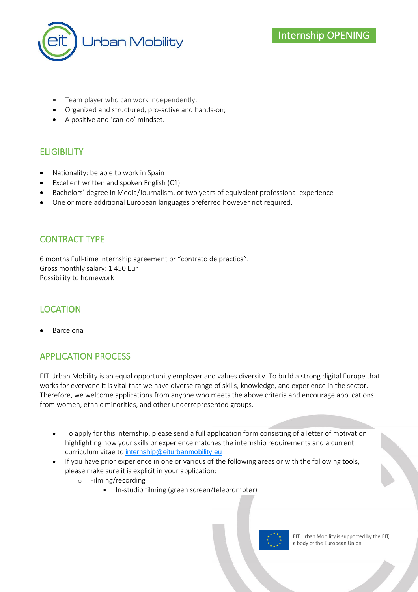

- Team player who can work independently;
- Organized and structured, pro-active and hands-on;
- A positive and 'can-do' mindset.

# **ELIGIBILITY**

- Nationality: be able to work in Spain
- Excellent written and spoken English (C1)
- Bachelors' degree in Media/Journalism, or two years of equivalent professional experience
- One or more additional European languages preferred however not required.

# CONTRACT TYPE

6 months Full-time internship agreement or "contrato de practica". Gross monthly salary: 1 450 Eur Possibility to homework

# LOCATION

• Barcelona

# APPLICATION PROCESS

EIT Urban Mobility is an equal opportunity employer and values diversity. To build a strong digital Europe that works for everyone it is vital that we have diverse range of skills, knowledge, and experience in the sector. Therefore, we welcome applications from anyone who meets the above criteria and encourage applications from women, ethnic minorities, and other underrepresented groups.

- To apply for this internship, please send a full application form consisting of a letter of motivation highlighting how your skills or experience matches the internship requirements and a current curriculum vitae to [internship@eiturbanmobility.eu](mailto:internship@eiturbanmobility.eu)
- If you have prior experience in one or various of the following areas or with the following tools, please make sure it is explicit in your application:
	- o Filming/recording
		- In-studio filming (green screen/teleprompter)